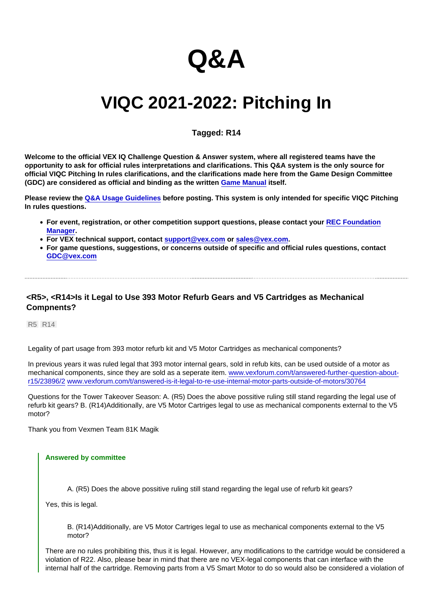# Q&A

# VIQC 2021-2022: Pitching In

# Tagged: R14

Welcome to the official VEX IQ Challenge Question & Answer system, where all registered teams have the opportunity to ask for official rules interpretations and clarifications. This Q&A system is the only source for official VIQC Pitching In rules clarifications, and the clarifications made here from the Game Design Committee (GDC) are considered as official and binding as the written [Game Manual](https://link.vex.com/docs/viqc/pitching-in/Game-Manual) itself.

Please review the [Q&A Usage Guidelines](https://robotevents.com/VIQC/2021-2022/QA/guidelines) before posting. This system is only intended for specific VIQC Pitching In rules questions.

- For event, registration, or other competition support questions, please contact your [REC Foundation](http://www.robotevents.com/support) [Manager](http://www.robotevents.com/support).
- For VEX technical support, contact [support@vex.com](mailto:support@vex.com) or [sales@vex.com](mailto:sales@vex.com) .
- For game questions, suggestions, or concerns outside of specific and official rules questions, contact [GDC@vex.com](mailto:GDC@vex.com)

<R5>, <R14>Is it Legal to Use 393 Motor Refurb Gears and V5 Cartridges as Mechanical Compnents?

R5 R14

Legality of part usage from 393 motor refurb kit and V5 Motor Cartridges as mechanical components?

In previous years it was ruled legal that 393 motor internal gears, sold in refub kits, can be used outside of a motor as mechanical components, since they are sold as a seperate item, [www.vexforum.com/t/answered-further-question-about](https://www.vexforum.com/t/answered-further-question-about-r15/23896/2)[r15/23896/2](https://www.vexforum.com/t/answered-further-question-about-r15/23896/2) [www.vexforum.com/t/answered-is-it-legal-to-re-use-internal-motor-parts-outside-of-motors/30764](https://www.vexforum.com/t/answered-is-it-legal-to-re-use-internal-motor-parts-outside-of-motors/30764)

Questions for the Tower Takeover Season: A. (R5) Does the above possitive ruling still stand regarding the legal use of refurb kit gears? B. (R14)Additionally, are V5 Motor Cartriges legal to use as mechanical components external to the V5 motor?

Thank you from Vexmen Team 81K Magik

### Answered by committee

A. (R5) Does the above possitive ruling still stand regarding the legal use of refurb kit gears?

Yes, this is legal.

B. (R14)Additionally, are V5 Motor Cartriges legal to use as mechanical components external to the V5 motor?

There are no rules prohibiting this, thus it is legal. However, any modifications to the cartridge would be considered a violation of R22. Also, please bear in mind that there are no VEX-legal components that can interface with the internal half of the cartridge. Removing parts from a V5 Smart Motor to do so would also be considered a violation of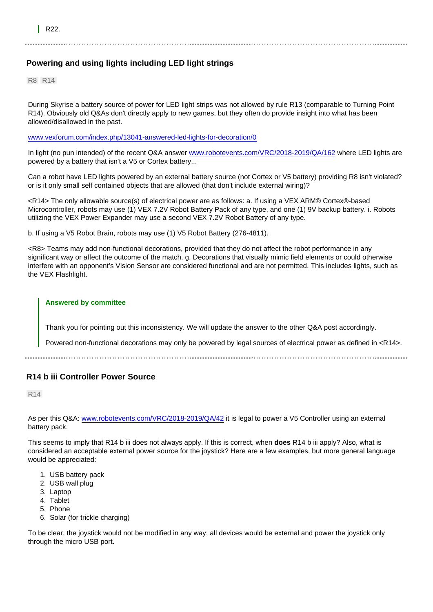# Powering and using lights including LED light strings

R8 R14

During Skyrise a battery source of power for LED light strips was not allowed by rule R13 (comparable to Turning Point R14). Obviously old Q&As don't directly apply to new games, but they often do provide insight into what has been allowed/disallowed in the past.

[www.vexforum.com/index.php/13041-answered-led-lights-for-decoration/0](https://www.vexforum.com/index.php/13041-answered-led-lights-for-decoration/0)

In light (no pun intended) of the recent Q&A answer [www.robotevents.com/VRC/2018-2019/QA/162](https://www.robotevents.com/VRC/2018-2019/QA/162) where LED lights are powered by a battery that isn't a V5 or Cortex battery...

Can a robot have LED lights powered by an external battery source (not Cortex or V5 battery) providing R8 isn't violated? or is it only small self contained objects that are allowed (that don't include external wiring)?

<R14> The only allowable source(s) of electrical power are as follows: a. If using a VEX ARM® Cortex®-based Microcontroller, robots may use (1) VEX 7.2V Robot Battery Pack of any type, and one (1) 9V backup battery. i. Robots utilizing the VEX Power Expander may use a second VEX 7.2V Robot Battery of any type.

b. If using a V5 Robot Brain, robots may use (1) V5 Robot Battery (276-4811).

<R8> Teams may add non-functional decorations, provided that they do not affect the robot performance in any significant way or affect the outcome of the match. g. Decorations that visually mimic field elements or could otherwise interfere with an opponent's Vision Sensor are considered functional and are not permitted. This includes lights, such as the VEX Flashlight.

Answered by committee

Thank you for pointing out this inconsistency. We will update the answer to the other Q&A post accordingly.

Powered non-functional decorations may only be powered by legal sources of electrical power as defined in <R14>.

# R14 b iii Controller Power Source

R14

As per this Q&A: [www.robotevents.com/VRC/2018-2019/QA/42](https://www.robotevents.com/VRC/2018-2019/QA/42) it is legal to power a V5 Controller using an external battery pack.

This seems to imply that R14 b iii does not always apply. If this is correct, when does R14 b iii apply? Also, what is considered an acceptable external power source for the joystick? Here are a few examples, but more general language would be appreciated:

- 1. USB battery pack
- 2. USB wall plug
- 3. Laptop
- 4. Tablet
- 5. Phone
- 6. Solar (for trickle charging)

To be clear, the joystick would not be modified in any way; all devices would be external and power the joystick only through the micro USB port.